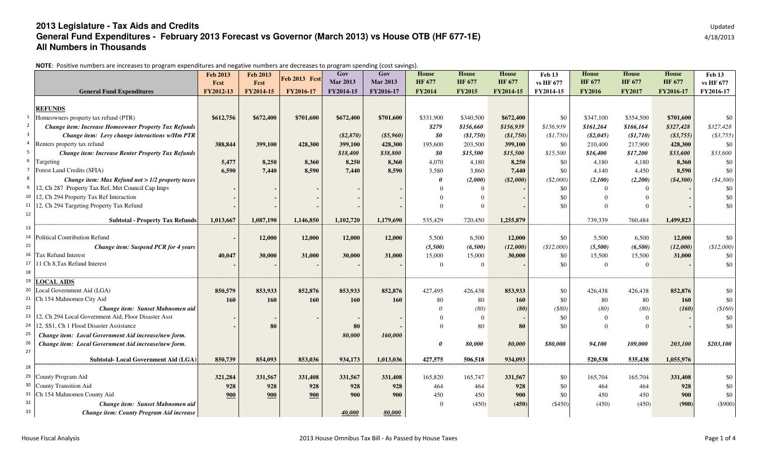## **2013 Legislature - Tax Aids and Credits** Updated **General Fund Expenditures - February 2013 Forecast vs Governor (March 2013) vs House OTB (HF 677-1E)All Numbers in Thousands**

NOTE: Positive numbers are increases to program expenditures and negative numbers are decreases to program spending (cost savings).

|                |                                                                | <b>Feb 2013</b><br>Fest | <b>Feb 2013</b><br>Fest | <b>Feb 2013 Fcst</b> | Gov<br><b>Mar 2013</b> | Gov<br><b>Mar 2013</b> | <b>House</b><br><b>HF 677</b> | <b>House</b><br><b>HF 677</b> | <b>House</b><br><b>HF 677</b> | Feb 13<br>vs HF 677 | <b>House</b><br><b>HF 677</b> | <b>House</b><br><b>HF 677</b> | <b>House</b><br>HF 677 | Feb 13<br>vs HF 677 |
|----------------|----------------------------------------------------------------|-------------------------|-------------------------|----------------------|------------------------|------------------------|-------------------------------|-------------------------------|-------------------------------|---------------------|-------------------------------|-------------------------------|------------------------|---------------------|
|                | <b>General Fund Expenditures</b>                               | FY2012-13               | FY2014-15               | FY2016-17            | FY2014-15              | FY2016-17              | <b>FY2014</b>                 | <b>FY2015</b>                 | FY2014-15                     | FY2014-15           | <b>FY2016</b>                 | <b>FY2017</b>                 | FY2016-17              | FY2016-17           |
|                |                                                                |                         |                         |                      |                        |                        |                               |                               |                               |                     |                               |                               |                        |                     |
|                | <b>REFUNDS</b>                                                 |                         |                         |                      |                        |                        |                               |                               |                               |                     |                               |                               |                        |                     |
|                | Homeowners property tax refund (PTR)                           | \$612,756               | \$672,400               | \$701,600            | \$672,400              | \$701,600              | \$331,900                     | \$340,500                     | \$672,400                     | \$0                 | \$347,100                     | \$354,500                     | \$701,600              | \$0                 |
| $\overline{2}$ | <b>Change item: Increase Homeowner Property Tax Refunds</b>    |                         |                         |                      |                        |                        | \$279                         | \$156,660                     | \$156,939                     | \$156,939           | \$161,264                     | \$166,164                     | \$327,428              | \$327,428           |
| $\overline{3}$ | Change item: Levy change interactions w/Hm PTR                 |                         |                         |                      | $(\$2,870)$            | ( \$5,960)             | \$0                           | (\$1,750)                     | (\$1,750)                     | \$1,750             | $(\$2,045)$                   | (\$1,710)                     | ( \$3,755)             | (\$3,755)           |
|                | <sup>4</sup> Renters property tax refund                       | 388,844                 | 399,100                 | 428,300              | 399,100                | 428,300                | 195,600                       | 203,500                       | 399,100                       | \$0                 | 210,400                       | 217,900                       | 428,300                | \$0                 |
| 5 <sub>1</sub> | <b>Change item: Increase Renter Property Tax Refunds</b>       |                         |                         |                      | \$18,400               | \$38,800               | \$0                           | \$15,500                      | \$15,500                      | \$15,500            | \$16,400                      | \$17,200                      | \$33,600               | \$33,600            |
|                | <sup>6</sup> Targeting                                         | 5,477                   | 8,250                   | 8,360                | 8,250                  | 8,360                  | 4,070                         | 4,180                         | 8,250                         | \$0                 | 4,180                         | 4,180                         | 8,360                  | \$0                 |
|                | <sup>7</sup> Forest Land Credits (SFIA)                        | 6,590                   | 7,440                   | 8,590                | 7,440                  | 8,590                  | 3,580                         | 3,860                         | 7,440                         | \$0                 | 4,140                         | 4,450                         | 8,590                  | \$0                 |
|                | Change item: Max Refund not $> 1/2$ property taxes             |                         |                         |                      |                        |                        |                               | (2,000)                       | $(\$2,000)$                   | (\$2,000)           | (2,100)                       | (2,200)                       | ( \$4,300)             | $(*4,300)$          |
|                | <sup>9</sup> 12, Ch 287 Property Tax Ref, Met Council Cap Impv |                         |                         |                      |                        |                        |                               |                               |                               | \$0                 |                               |                               |                        | \$0                 |
|                | 10 12, Ch 294 Property Tax Ref Interaction                     |                         |                         |                      |                        |                        |                               |                               |                               | \$0                 |                               |                               |                        | \$0                 |
|                | 11 12, Ch 294 Targeting Property Tax Refund                    |                         |                         |                      |                        |                        |                               | $\Omega$                      |                               | \$0                 |                               |                               |                        | \$0                 |
| 12             | <b>Subtotal - Property Tax Refunds</b>                         | 1,013,667               | 1,087,190               | 1,146,850            | 1,102,720              | 1,179,690              | 535,429                       | 720,450                       | 1,255,879                     |                     | 739,339                       | 760,484                       | 1,499,823              |                     |
|                |                                                                |                         |                         |                      |                        |                        |                               |                               |                               |                     |                               |                               |                        |                     |
|                | <sup>14</sup> Political Contribution Refund                    |                         | 12,000                  | 12,000               | 12,000                 | 12,000                 | 5,500                         | 6,500                         | 12,000                        | \$0                 | 5,500                         | 6,500                         | 12,000                 | \$0                 |
| 15             | Change item: Suspend PCR for 4 years                           |                         |                         |                      |                        |                        | (5,500)                       | (6,500)                       | (12,000)                      | (\$12,000)          | (5,500)                       | (6,500)                       | (12,000)               | \$12,000            |
|                | 16 Tax Refund Interest                                         | 40,047                  | 30,000                  | 31,000               | 30,000                 | 31,000                 | 15,000                        | 15,000                        | 30,000                        | \$0                 | 15,500                        | 15,500                        | 31,000                 | \$0                 |
|                | 17 11 Ch 8, Tax Refund Interest                                |                         |                         |                      |                        |                        | $\Omega$                      | $\Omega$                      |                               | \$0                 | $\Omega$                      | $\Omega$                      |                        | \$0                 |
| 18             |                                                                |                         |                         |                      |                        |                        |                               |                               |                               |                     |                               |                               |                        |                     |
|                | 19 LOCAL AIDS                                                  |                         |                         |                      |                        |                        |                               |                               |                               |                     |                               |                               |                        |                     |
|                | 20 Local Government Aid (LGA)                                  | 850,579                 | 853,933                 | 852,876              | 853,933                | 852,876                | 427.495                       | 426,438                       | 853,933                       | \$0                 | 426,438                       | 426,438                       | 852,876                | \$0                 |
|                | <sup>21</sup> Ch 154 Mahnomen City Aid                         | 160                     | 160                     | 160                  | 160                    | 160                    | 80                            | 80                            | 160                           | \$0                 | 80                            | 80                            | 160                    | \$0                 |
| 22             | Change item: Sunset Mahnomen aid                               |                         |                         |                      |                        |                        |                               | (80)                          | (80)                          | $($ \$80)           | (80)                          | (80)                          | (160)                  | \$160               |
|                | 23 12, Ch 294 Local Government Aid, Floor Disaster Asst        |                         |                         |                      |                        |                        |                               | $\Omega$                      |                               | \$0                 |                               | $\Omega$                      |                        | \$0                 |
|                | 24 12, SS1, Ch 1 Flood Disaster Assistance                     |                         | 80                      |                      | 80                     |                        |                               | 80                            | 80                            | \$0                 |                               |                               |                        | \$0                 |
| 25             | Change item: Local Government Aid increase/new form.           |                         |                         |                      | 80,000                 | 160,000                |                               |                               |                               |                     |                               |                               |                        |                     |
| 26             | Change item: Local Government Aid increase/new form.           |                         |                         |                      |                        |                        |                               | 80.000                        | 80.000                        | \$80,000            | 94,100                        | 109,000                       | 203,100                | \$203,100           |
| 27             |                                                                |                         |                         |                      |                        |                        |                               |                               |                               |                     |                               |                               |                        |                     |
| 28             | <b>Subtotal-Local Government Aid (LGA)</b>                     | 850,739                 | 854,093                 | 853,036              | 934,173                | 1,013,036              | 427,575                       | 506,518                       | 934,093                       |                     | 520,538                       | 535,438                       | 1,055,976              |                     |
|                | <sup>29</sup> County Program Aid                               |                         |                         |                      |                        |                        |                               |                               |                               |                     |                               |                               |                        |                     |
|                | <sup>30</sup> County Transition Aid                            | 321,284<br>928          | 331,567<br>928          | 331,408              | 331,567<br>928         | 331,408<br>928         | 165,820                       | 165,747                       | 331,567                       | \$0                 | 165,704                       | 165,704                       | 331,408                | \$0<br>\$0          |
|                | <sup>31</sup> Ch 154 Mahnomen County Aid                       | 900                     | 900                     | 928                  | 900                    | 900                    | 464<br>450                    | 464<br>450                    | 928<br>900                    | \$0<br>\$0          | 464<br>450                    | 464<br>450                    | 928<br>900             | \$0                 |
| 32             | Change item: Sunset Mahnomen aid                               |                         |                         | 900                  |                        |                        |                               | (450)                         | (450)                         | ( \$450)            | (450)                         | (450)                         | (900)                  | $(\$900)$           |
| 33             | Change item: County Program Aid increase                       |                         |                         |                      |                        | 80,000                 |                               |                               |                               |                     |                               |                               |                        |                     |
|                |                                                                |                         |                         |                      | 40,000                 |                        |                               |                               |                               |                     |                               |                               |                        |                     |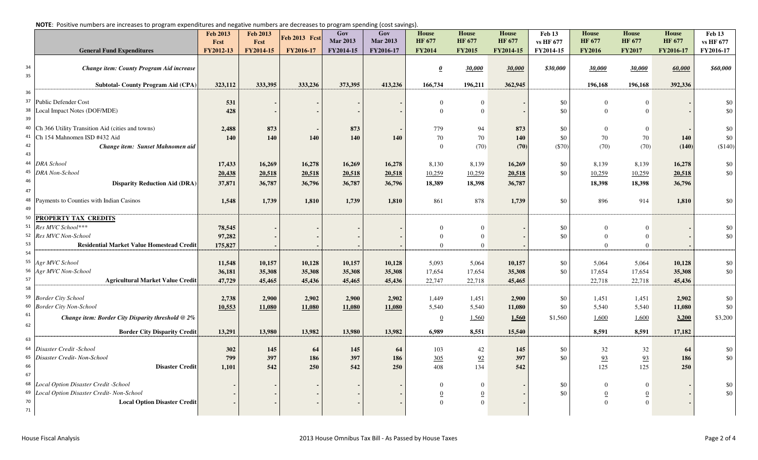|  | NOTE: Positive numbers are increases to program expenditures and negative numbers are decreases to program spending (cost savings). |  |  |  |  |  |  |  |  |  |  |  |  |  |  |  |  |  |  |  |  |  |  |  |  |  |  |  |  |  |  |  |  |  |
|--|-------------------------------------------------------------------------------------------------------------------------------------|--|--|--|--|--|--|--|--|--|--|--|--|--|--|--|--|--|--|--|--|--|--|--|--|--|--|--|--|--|--|--|--|--|
|--|-------------------------------------------------------------------------------------------------------------------------------------|--|--|--|--|--|--|--|--|--|--|--|--|--|--|--|--|--|--|--|--|--|--|--|--|--|--|--|--|--|--|--|--|--|

|          | <b>TOTLE:</b> TOSIGNO Mambers are moreases to program experience ena negative mambers are acercases to program spenam <sub>b</sub> (cost savings) |                         |                  |               |                        |                        |                               |                               |                               |                     |                               |                               |                               |                     |
|----------|---------------------------------------------------------------------------------------------------------------------------------------------------|-------------------------|------------------|---------------|------------------------|------------------------|-------------------------------|-------------------------------|-------------------------------|---------------------|-------------------------------|-------------------------------|-------------------------------|---------------------|
|          |                                                                                                                                                   | <b>Feb 2013</b><br>Fcst | Feb 2013<br>Fcst | Feb 2013 Fcst | Gov<br><b>Mar 2013</b> | Gov<br><b>Mar 2013</b> | <b>House</b><br><b>HF 677</b> | <b>House</b><br><b>HF 677</b> | <b>House</b><br><b>HF 677</b> | Feb 13<br>vs HF 677 | <b>House</b><br><b>HF 677</b> | <b>House</b><br><b>HF 677</b> | <b>House</b><br><b>HF 677</b> | Feb 13<br>vs HF 677 |
|          | <b>General Fund Expenditures</b>                                                                                                                  | FY2012-13               | FY2014-15        | FY2016-17     | FY2014-15              | FY2016-17              | <b>FY2014</b>                 | <b>FY2015</b>                 | FY2014-15                     | FY2014-15           | <b>FY2016</b>                 | <b>FY2017</b>                 | FY2016-17                     | FY2016-17           |
|          |                                                                                                                                                   |                         |                  |               |                        |                        |                               |                               |                               |                     |                               |                               |                               |                     |
| 34       | Change item: County Program Aid increase                                                                                                          |                         |                  |               |                        |                        | $\boldsymbol{\theta}$         | 30,000                        | 30,000                        | \$30,000            | 30,000                        | 30,000                        | 60,000                        | \$60,000            |
| 35       |                                                                                                                                                   |                         |                  |               |                        |                        |                               |                               |                               |                     |                               |                               |                               |                     |
|          | <b>Subtotal- County Program Aid (CPA)</b>                                                                                                         | 323,112                 | 333,395          | 333,236       | 373,395                | 413,236                | 166,734                       | 196,211                       | 362,945                       |                     | 196,168                       | 196,168                       | 392,336                       |                     |
| 36       |                                                                                                                                                   |                         |                  |               |                        |                        |                               |                               |                               |                     |                               |                               |                               |                     |
| 37       | Public Defender Cost                                                                                                                              | 531                     |                  |               |                        |                        | $\Omega$                      | $\overline{0}$                |                               | \$0                 | $\Omega$                      | $\overline{0}$                |                               | \$0                 |
| 38       | Local Impact Notes (DOF/MDE)                                                                                                                      | 428                     |                  |               |                        |                        | $\Omega$                      | $\overline{0}$                |                               | \$0                 | $\Omega$                      | $\overline{0}$                |                               | \$0                 |
| 39       |                                                                                                                                                   |                         |                  |               |                        |                        |                               |                               |                               |                     |                               |                               |                               |                     |
| 40       | Ch 366 Utility Transition Aid (cities and towns)                                                                                                  | 2,488                   | 873              |               | 873                    |                        | 779                           | 94                            | 873                           | \$0                 | $\Omega$                      | $\overline{0}$                |                               | \$0                 |
| 41       | Ch 154 Mahnomen ISD #432 Aid                                                                                                                      | 140                     | 140              | 140           | 140                    | 140                    | 70                            | 70                            | 140                           | \$0                 | 70                            | 70                            | 140                           | \$0                 |
| 42       | Change item: Sunset Mahnomen aid                                                                                                                  |                         |                  |               |                        |                        | $\Omega$                      | (70)                          | (70)                          | $(\$70)$            | (70)                          | (70)                          | (140)                         | (\$140)             |
| 43<br>44 |                                                                                                                                                   |                         |                  |               |                        |                        |                               |                               |                               |                     |                               |                               |                               |                     |
| 45       | <b>DRA</b> School<br><b>DRA</b> Non-School                                                                                                        | 17,433                  | 16,269           | 16,278        | 16,269                 | 16,278                 | 8,130                         | 8,139                         | 16,269                        | \$0                 | 8,139                         | 8,139                         | 16,278                        | \$0<br>\$0          |
| 46       |                                                                                                                                                   | 20,438                  | 20,518           | 20,518        | 20,518                 | 20,518                 | 10,259                        | 10,259                        | 20,518                        | \$0                 | 10,259                        | 10,259                        | 20,518                        |                     |
| 47       | <b>Disparity Reduction Aid (DRA)</b>                                                                                                              | 37,871                  | 36,787           | 36,796        | 36,787                 | 36,796                 | 18,389                        | 18,398                        | 36,787                        |                     | 18,398                        | 18,398                        | 36,796                        |                     |
| 48       |                                                                                                                                                   |                         |                  |               |                        |                        |                               |                               |                               |                     |                               |                               |                               |                     |
| 49       | Payments to Counties with Indian Casinos                                                                                                          | 1,548                   | 1,739            | 1,810         | 1,739                  | 1,810                  | 861                           | 878                           | 1,739                         | \$0                 | 896                           | 914                           | 1,810                         | \$0                 |
| 50       | <b>PROPERTY TAX CREDITS</b>                                                                                                                       |                         |                  |               |                        |                        |                               |                               |                               |                     |                               |                               |                               |                     |
| 51       | Res MVC School***                                                                                                                                 | 78,545                  |                  |               |                        |                        | $\Omega$                      | $\Omega$                      |                               | \$0                 | $\Omega$                      | $\Omega$                      |                               | \$0                 |
| 52       | Res MVC Non-School                                                                                                                                | 97,282                  |                  |               |                        |                        | $\Omega$                      | $\overline{0}$                |                               | \$0                 | $\Omega$                      | $\Omega$                      |                               | \$0                 |
| 53       | <b>Residential Market Value Homestead Credit</b>                                                                                                  | 175,827                 |                  |               |                        |                        | $\theta$                      | $\overline{0}$                |                               |                     | $\overline{0}$                | $\overline{0}$                |                               |                     |
| 54       |                                                                                                                                                   |                         |                  |               |                        |                        |                               |                               |                               |                     |                               |                               |                               |                     |
| 55       | Agr MVC School                                                                                                                                    | 11,548                  | 10,157           | 10,128        | 10,157                 | 10,128                 | 5,093                         | 5,064                         | 10,157                        | \$0                 | 5,064                         | 5,064                         | 10,128                        | \$0                 |
| 56       | Agr MVC Non-School                                                                                                                                | 36,181                  | 35,308           | 35,308        | 35,308                 | 35,308                 | 17,654                        | 17,654                        | 35,308                        | \$0                 | 17,654                        | 17,654                        | 35,308                        | \$0                 |
| 57       | <b>Agricultural Market Value Credit</b>                                                                                                           | 47,729                  | 45,465           | 45,436        | 45,465                 | 45,436                 | 22,747                        | 22,718                        | 45,465                        |                     | 22,718                        | 22,718                        | 45,436                        |                     |
| 58       |                                                                                                                                                   |                         |                  |               |                        |                        |                               |                               |                               |                     |                               |                               |                               |                     |
| 59       | <b>Border City School</b>                                                                                                                         | 2,738                   | 2,900            | 2,902         | 2,900                  | 2,902                  | 1,449                         | 1,451                         | 2,900                         | \$0                 | 1,451                         | 1,451                         | 2,902                         | \$0                 |
|          | 60 Border City Non-School                                                                                                                         | 10,553                  | 11,080           | 11,080        | 11,080                 | 11,080                 | 5,540                         | 5,540                         | 11,080                        | \$0                 | 5,540                         | 5,540                         | 11,080                        | \$0                 |
| 61       | Change item: Border City Disparity threshold @ 2%                                                                                                 |                         |                  |               |                        |                        | $\overline{0}$                | 1,560                         | 1,560                         | \$1,560             | 1,600                         | 1,600                         | 3,200                         | \$3,200             |
| 62       |                                                                                                                                                   |                         |                  |               |                        |                        |                               |                               |                               |                     |                               |                               |                               |                     |
| 63       | <b>Border City Disparity Credit</b>                                                                                                               | 13,291                  | 13,980           | 13,982        | 13,980                 | 13,982                 | 6,989                         | 8,551                         | 15,540                        |                     | 8,591                         | 8,591                         | 17,182                        |                     |
| 64       | Disaster Credit -School                                                                                                                           | 302                     | 145              | 64            |                        | 64                     | 103                           |                               | 145                           | \$0                 | 32                            | 32                            |                               | \$0                 |
| 65       | Disaster Credit- Non-School                                                                                                                       | 799                     | 397              | 186           | 145<br>397             | 186                    | 305                           | 42<br>92                      | 397                           | \$0                 | 93                            | 93                            | 64<br>186                     | \$0                 |
| 66       | <b>Disaster Credit</b>                                                                                                                            | 1,101                   | 542              | 250           | 542                    | 250                    | 408                           | 134                           | 542                           |                     | 125                           | 125                           | 250                           |                     |
| 67       |                                                                                                                                                   |                         |                  |               |                        |                        |                               |                               |                               |                     |                               |                               |                               |                     |
| 68       | Local Option Disaster Credit -School                                                                                                              |                         |                  |               |                        |                        |                               | $\Omega$                      |                               | \$0                 |                               | $\Omega$                      |                               | \$0                 |
| 69       | Local Option Disaster Credit- Non-School                                                                                                          |                         |                  |               |                        |                        | $\overline{0}$                | $\overline{0}$                |                               | \$0                 | $\boldsymbol{0}$              | $\boldsymbol{0}$              |                               | \$0                 |
| 70       | <b>Local Option Disaster Credit</b>                                                                                                               |                         |                  |               |                        |                        | $\Omega$                      | $\Omega$                      |                               |                     | $\Omega$                      | $\theta$                      |                               |                     |
| 71       |                                                                                                                                                   |                         |                  |               |                        |                        |                               |                               |                               |                     |                               |                               |                               |                     |
|          |                                                                                                                                                   |                         |                  |               |                        |                        |                               |                               |                               |                     |                               |                               |                               |                     |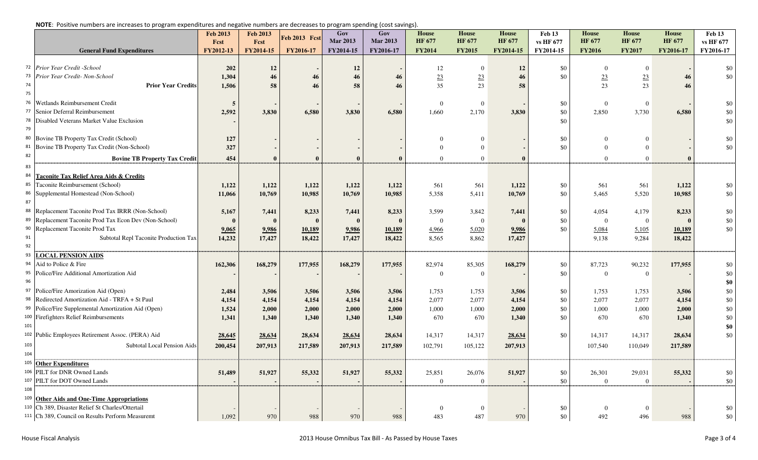|  |  | NOTE: Positive numbers are increases to program expenditures and negative numbers are decreases to program spending (cost savings). |  |  |
|--|--|-------------------------------------------------------------------------------------------------------------------------------------|--|--|
|  |  |                                                                                                                                     |  |  |

|          |                                                     | <b>Feb 2013</b><br>Fest | <b>Feb 2013</b><br>Fcst | <b>Feb 2013 Fcst</b> | Gov<br><b>Mar 2013</b> | Gov<br><b>Mar 2013</b> | <b>House</b><br><b>HF 677</b> | <b>House</b><br><b>HF 677</b> | <b>House</b><br><b>HF 677</b> | Feb 13<br>vs HF 677 | <b>House</b><br><b>HF 677</b> | <b>House</b><br><b>HF 677</b> | <b>House</b><br><b>HF 677</b> | Feb 13<br>vs HF 677 |
|----------|-----------------------------------------------------|-------------------------|-------------------------|----------------------|------------------------|------------------------|-------------------------------|-------------------------------|-------------------------------|---------------------|-------------------------------|-------------------------------|-------------------------------|---------------------|
|          | <b>General Fund Expenditures</b>                    | FY2012-13               | FY2014-15               | FY2016-17            | FY2014-15              | FY2016-17              | <b>FY2014</b>                 | <b>FY2015</b>                 | FY2014-15                     | FY2014-15           | <b>FY2016</b>                 | <b>FY2017</b>                 | FY2016-17                     | FY2016-17           |
|          |                                                     |                         |                         |                      |                        |                        |                               |                               |                               |                     |                               |                               |                               |                     |
| 72       | Prior Year Credit -School                           | 202                     | 12                      |                      | 12                     |                        | 12                            | $\mathbf{0}$                  | 12                            | \$0                 | $\overline{0}$                | $\mathbf{0}$                  |                               | \$0                 |
| 73       | Prior Year Credit-Non-School                        | 1,304                   | 46                      | 46                   | 46                     | 46                     | 23                            | 23                            | 46                            | \$0                 | 23                            | 23                            | 46                            | \$0                 |
| 74       | <b>Prior Year Credits</b>                           | 1,506                   | 58                      | 46                   | 58                     | 46                     | 35                            | 23                            | 58                            |                     | 23                            | 23                            | 46                            |                     |
| 75       |                                                     |                         |                         |                      |                        |                        |                               |                               |                               |                     |                               |                               |                               |                     |
| 76       | Wetlands Reimbursement Credit                       | 5                       |                         |                      |                        |                        | $\Omega$                      | $\Omega$                      |                               | \$0                 | $\Omega$                      | $\mathbf{0}$                  |                               | \$0                 |
| 77       | Senior Deferral Reimbursement                       | 2,592                   | 3,830                   | 6,580                | 3,830                  | 6,580                  | 1,660                         | 2,170                         | 3,830                         | \$0                 | 2,850                         | 3,730                         | 6,580                         | \$0                 |
| 78<br>79 | Disabled Veterans Market Value Exclusion            |                         |                         |                      |                        |                        |                               |                               |                               | \$0                 |                               |                               |                               | \$0                 |
| 80       |                                                     |                         |                         |                      |                        |                        |                               |                               |                               |                     |                               |                               |                               |                     |
| 81       | Bovine TB Property Tax Credit (School)              | 127                     |                         |                      |                        |                        | $\Omega$                      | $\Omega$                      |                               | \$0                 | $\Omega$<br>$\Omega$          | $\Omega$                      |                               | \$0                 |
| 82       | Bovine TB Property Tax Credit (Non-School)          | 327                     |                         |                      |                        |                        | $\overline{0}$                | $\Omega$                      |                               | \$0                 |                               | $\Omega$                      |                               | $\$0$               |
|          | <b>Bovine TB Property Tax Credit</b>                | 454                     |                         |                      |                        |                        | $\Omega$                      | $\overline{0}$                | $\mathbf{0}$                  |                     | $\theta$                      | $\Omega$                      | $\mathbf{0}$                  |                     |
| 83       |                                                     |                         |                         |                      |                        |                        |                               |                               |                               |                     |                               |                               |                               |                     |
| 84       | Taconite Tax Relief Area Aids & Credits             |                         |                         |                      |                        |                        |                               |                               |                               |                     |                               |                               |                               |                     |
| 85<br>86 | Taconite Reimbursement (School)                     | 1,122                   | 1,122                   | 1,122                | 1,122                  | 1,122                  | 561                           | 561                           | 1,122                         | \$0                 | 561                           | 561                           | 1,122                         | \$0                 |
| 87       | Supplemental Homestead (Non-School)                 | 11,066                  | 10,769                  | 10,985               | 10,769                 | 10,985                 | 5,358                         | 5,411                         | 10,769                        | \$0                 | 5,465                         | 5,520                         | 10,985                        | \$0                 |
| 88       | Replacement Taconite Prod Tax IRRR (Non-School)     |                         |                         |                      |                        | 8,233                  | 3,599                         |                               |                               | \$0                 | 4,054                         |                               | 8,233                         | \$0                 |
| 89       | Replacement Taconite Prod Tax Econ Dev (Non-School) | 5,167<br>$\mathbf{0}$   | 7,441                   | 8,233                | 7,441<br>$\mathbf{0}$  | $\mathbf{0}$           | $\overline{0}$                | 3,842<br>$\overline{0}$       | 7,441<br>$\theta$             | \$0                 | $\Omega$                      | 4,179<br>$\mathbf{0}$         | $\mathbf{0}$                  | $\$0$               |
| 90       | Replacement Taconite Prod Tax                       | 9,065                   | 9,986                   | 10,189               | 9,986                  | 10,189                 | 4,966                         | 5,020                         | 9,986                         | \$0                 | 5,084                         | 5,105                         | 10,189                        | \$0                 |
| 91       | Subtotal Repl Taconite Production Tax               | 14,232                  | 17,427                  | 18,422               | 17,427                 | 18,422                 | 8,565                         | 8,862                         | 17,427                        |                     | 9,138                         | 9.284                         | 18,422                        |                     |
| 92       |                                                     |                         |                         |                      |                        |                        |                               |                               |                               |                     |                               |                               |                               |                     |
| 93       | <b>LOCAL PENSION AIDS</b>                           |                         |                         |                      |                        |                        |                               |                               |                               |                     |                               |                               |                               |                     |
| 94       | Aid to Police & Fire                                | 162,306                 | 168,279                 | 177,955              | 168,279                | 177,955                | 82,974                        | 85,305                        | 168,279                       | \$0                 | 87,723                        | 90,232                        | 177,955                       | \$0                 |
| 95       | Police/Fire Additional Amortization Aid             |                         |                         |                      |                        |                        | $\Omega$                      | $\overline{0}$                |                               | \$0                 | $\overline{0}$                | $\mathbf{0}$                  |                               | \$0                 |
| 96       |                                                     |                         |                         |                      |                        |                        |                               |                               |                               |                     |                               |                               |                               | \$0                 |
| 97       | Police/Fire Amorization Aid (Open)                  | 2,484                   | 3,506                   | 3,506                | 3,506                  | 3,506                  | 1,753                         | 1,753                         | 3,506                         | \$0                 | 1,753                         | 1,753                         | 3,506                         | \$0                 |
| 98       | Redirected Amortization Aid - TRFA + St Paul        | 4,154                   | 4,154                   | 4,154                | 4,154                  | 4,154                  | 2,077                         | 2,077                         | 4,154                         | \$0                 | 2.077                         | 2,077                         | 4,154                         | $\$0$               |
| 99       | Police/Fire Supplemental Amortization Aid (Open)    | 1,524                   | 2,000                   | 2,000                | 2,000                  | 2,000                  | 1,000                         | 1,000                         | 2,000                         | \$0                 | 1,000                         | 1,000                         | 2,000                         | $\$0$               |
|          | 100 Firefighters Relief Reimbursements              | 1,341                   | 1.340                   | 1,340                | 1,340                  | 1,340                  | 670                           | 670                           | 1,340                         | \$0                 | 670                           | 670                           | 1,340                         | $\$0$               |
| 101      |                                                     |                         |                         |                      |                        |                        |                               |                               |                               |                     |                               |                               |                               | \$0                 |
|          | 102 Public Employees Retirement Assoc. (PERA) Aid   | 28,645                  | 28,634                  | 28,634               | 28,634                 | 28,634                 | 14,317                        | 14,317                        | 28,634                        | \$0                 | 14,317                        | 14,317                        | 28,634                        | \$0                 |
| 103      | Subtotal Local Pension Aids                         | 200,454                 | 207,913                 | 217,589              | 207,913                | 217,589                | 102,791                       | 105,122                       | 207,913                       |                     | 107,540                       | 110,049                       | 217,589                       |                     |
| 104      |                                                     |                         |                         |                      |                        |                        |                               |                               |                               |                     |                               |                               |                               |                     |
|          | <sup>105</sup> Other Expenditures                   |                         |                         |                      |                        |                        |                               |                               |                               |                     |                               |                               |                               |                     |
| 106      | PILT for DNR Owned Lands                            | 51,489                  | 51,927                  | 55,332               | 51,927                 | 55,332                 | 25,851                        | 26,076                        | 51,927                        | \$0                 | 26,301                        | 29,031                        | 55,332                        | \$0                 |
|          | 107 PILT for DOT Owned Lands                        |                         |                         |                      |                        |                        | $\Omega$                      | $\overline{0}$                |                               | \$0                 | $\theta$                      | $\Omega$                      |                               | \$0                 |
| 108      |                                                     |                         |                         |                      |                        |                        |                               |                               |                               |                     |                               |                               |                               |                     |
| 109      | <b>Other Aids and One-Time Appropriations</b>       |                         |                         |                      |                        |                        |                               |                               |                               |                     |                               |                               |                               |                     |
|          | 110 Ch 389, Disaster Relief St Charles/Ottertail    |                         |                         |                      |                        |                        | $\boldsymbol{0}$              | $\Omega$                      |                               | \$0                 | $\Omega$                      | $\overline{0}$                |                               | \$0                 |
|          | 111 Ch 389, Council on Results Perform Measuremt    | 1,092                   | 970                     | 988                  | 970                    | 988                    | 483                           | 487                           | 970                           | \$0                 | 492                           | 496                           | 988                           | \$0                 |